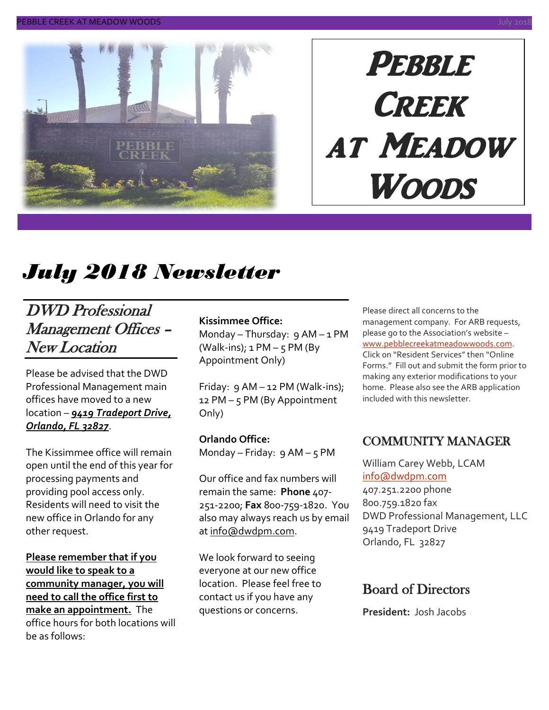

# **PEBBLE CREEK** at Meadow Woods

# *July 2018 Newsletter*

### DWD Professional Management Offices – New Location

Please be advised that the DWD Professional Management main offices have moved to a new location – *9419 Tradeport Drive, Orlando, FL 32827*.

The Kissimmee office will remain open until the end of this year for processing payments and providing pool access only. Residents will need to visit the new office in Orlando for any other request.

**Please remember that if you would like to speak to a community manager, you will need to call the office first to make an appointment.** The office hours for both locations will be as follows:

#### **Kissimmee Office:**

Monday – Thursday:  $9$  AM – 1 PM (Walk-ins);  $1 PM - 5 PM$  (By Appointment Only)

Friday: 9 AM – 12 PM (Walk-ins); 12 PM – 5 PM (By Appointment Only)

#### **Orlando Office:**

Monday – Friday: 9 AM – 5 PM

Our office and fax numbers will remain the same: **Phone** 407- 251-2200; **Fax** 800-759-1820. You also may always reach us by email a[t info@dwdpm.com.](mailto:info@dwdpm.com)

We look forward to seeing everyone at our new office location. Please feel free to contact us if you have any questions or concerns.

Please direct all concerns to the management company. For ARB requests, please go to the Association's website – [www.pebblecreekatmeadowwoods.com.](http://www.pebblecreekatmeadowwoods.com/) Click on "Resident Services" then "Online Forms." Fill out and submit the form prior to making any exterior modifications to your home. Please also see the ARB application included with this newsletter.

#### COMMUNITY MANAGER

William Carey Webb, LCAM [info@dwdpm.com](mailto:info@dwdpm.com)  407.251.2200 phone 800.759.1820 fax DWD Professional Management, LLC 9419 Tradeport Drive Orlando, FL 32827

#### Board of Directors

**President:** Josh Jacobs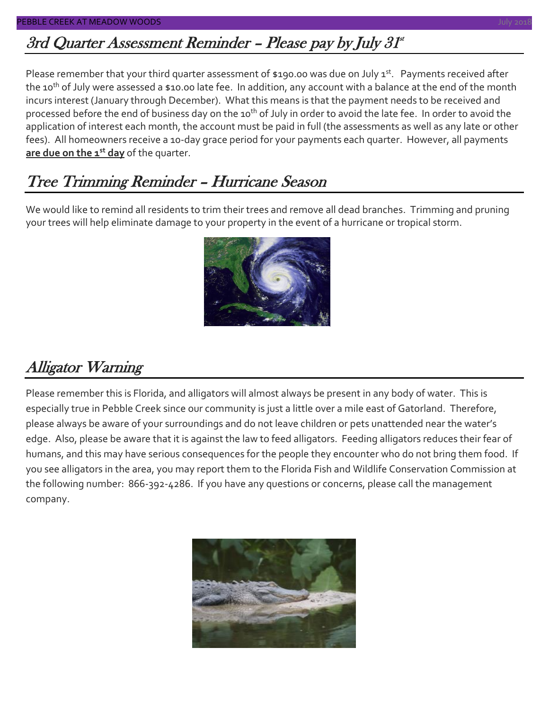### 3rd Quarter Assessment Reminder - Please pay by July 31\*

Please remember that your third quarter assessment of \$190.00 was due on July 1<sup>st</sup>. Payments received after the 10<sup>th</sup> of July were assessed a \$10.00 late fee. In addition, any account with a balance at the end of the month incurs interest (January through December). What this means is that the payment needs to be received and processed before the end of business day on the 10<sup>th</sup> of July in order to avoid the late fee. In order to avoid the application of interest each month, the account must be paid in full (the assessments as well as any late or other fees). All homeowners receive a 10-day grace period for your payments each quarter. However, all payments **are due on the 1st day** of the quarter.

### Tree Trimming Reminder – Hurricane Season

We would like to remind all residents to trim their trees and remove all dead branches. Trimming and pruning your trees will help eliminate damage to your property in the event of a hurricane or tropical storm.



### Alligator Warning

Please remember this is Florida, and alligators will almost always be present in any body of water. This is especially true in Pebble Creek since our community is just a little over a mile east of Gatorland. Therefore, please always be aware of your surroundings and do not leave children or pets unattended near the water's edge. Also, please be aware that it is against the law to feed alligators. Feeding alligators reduces their fear of humans, and this may have serious consequences for the people they encounter who do not bring them food. If you see alligators in the area, you may report them to the Florida Fish and Wildlife Conservation Commission at the following number: 866-392-4286. If you have any questions or concerns, please call the management company.

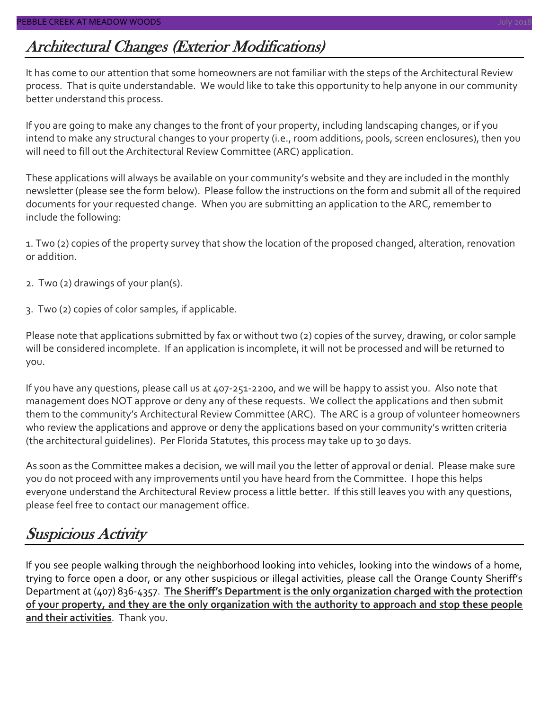### Architectural Changes (Exterior Modifications)

It has come to our attention that some homeowners are not familiar with the steps of the Architectural Review process. That is quite understandable. We would like to take this opportunity to help anyone in our community better understand this process.

If you are going to make any changes to the front of your property, including landscaping changes, or if you intend to make any structural changes to your property (i.e., room additions, pools, screen enclosures), then you will need to fill out the Architectural Review Committee (ARC) application.

These applications will always be available on your community's website and they are included in the monthly newsletter (please see the form below). Please follow the instructions on the form and submit all of the required documents for your requested change. When you are submitting an application to the ARC, remember to include the following:

1. Two (2) copies of the property survey that show the location of the proposed changed, alteration, renovation or addition.

- 2. Two (2) drawings of your plan(s).
- 3. Two (2) copies of color samples, if applicable.

Please note that applications submitted by fax or without two (2) copies of the survey, drawing, or color sample will be considered incomplete. If an application is incomplete, it will not be processed and will be returned to you.

If you have any questions, please call us at 407-251-2200, and we will be happy to assist you. Also note that management does NOT approve or deny any of these requests. We collect the applications and then submit them to the community's Architectural Review Committee (ARC). The ARC is a group of volunteer homeowners who review the applications and approve or deny the applications based on your community's written criteria (the architectural guidelines). Per Florida Statutes, this process may take up to 30 days.

As soon as the Committee makes a decision, we will mail you the letter of approval or denial. Please make sure you do not proceed with any improvements until you have heard from the Committee. I hope this helps everyone understand the Architectural Review process a little better. If this still leaves you with any questions, please feel free to contact our management office.

### Suspicious Activity

If you see people walking through the neighborhood looking into vehicles, looking into the windows of a home, trying to force open a door, or any other suspicious or illegal activities, please call the Orange County Sheriff's Department at (407) 836-4357. **The Sheriff's Department is the only organization charged with the protection of your property, and they are the only organization with the authority to approach and stop these people and their activities**. Thank you.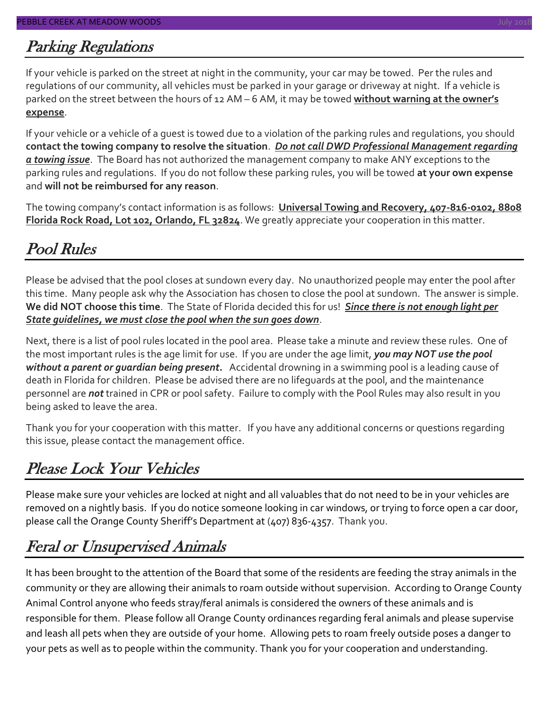### Parking Regulations

If your vehicle is parked on the street at night in the community, your car may be towed. Per the rules and regulations of our community, all vehicles must be parked in your garage or driveway at night. If a vehicle is parked on the street between the hours of 12 AM – 6 AM, it may be towed **without warning at the owner's expense**.

If your vehicle or a vehicle of a guest is towed due to a violation of the parking rules and regulations, you should **contact the towing company to resolve the situation**. *Do not call DWD Professional Management regarding a towing issue*. The Board has not authorized the management company to make ANY exceptions to the parking rules and regulations. If you do not follow these parking rules, you will be towed **at your own expense** and **will not be reimbursed for any reason**.

The towing company's contact information is as follows: **Universal Towing and Recovery, 407-816-0102, 8808 Florida Rock Road, Lot 102, Orlando, FL 32824**. We greatly appreciate your cooperation in this matter.

### Pool Rules

Please be advised that the pool closes at sundown every day. No unauthorized people may enter the pool after this time. Many people ask why the Association has chosen to close the pool at sundown. The answer is simple. **We did NOT choose this time**. The State of Florida decided this for us! *Since there is not enough light per State guidelines, we must close the pool when the sun goes down*.

Next, there is a list of pool rules located in the pool area. Please take a minute and review these rules. One of the most important rules is the age limit for use. If you are under the age limit, *you may NOT use the pool without a parent or guardian being present.* Accidental drowning in a swimming pool is a leading cause of death in Florida for children. Please be advised there are no lifeguards at the pool, and the maintenance personnel are *not* trained in CPR or pool safety. Failure to comply with the Pool Rules may also result in you being asked to leave the area.

Thank you for your cooperation with this matter. If you have any additional concerns or questions regarding this issue, please contact the management office.

### Please Lock Your Vehicles

Please make sure your vehicles are locked at night and all valuables that do not need to be in your vehicles are removed on a nightly basis. If you do notice someone looking in car windows, or trying to force open a car door, please call the Orange County Sheriff's Department at (407) 836-4357. Thank you.

### Feral or Unsupervised Animals

It has been brought to the attention of the Board that some of the residents are feeding the stray animals in the community or they are allowing their animals to roam outside without supervision. According to Orange County Animal Control anyone who feeds stray/feral animals is considered the owners of these animals and is responsible for them. Please follow all Orange County ordinances regarding feral animals and please supervise and leash all pets when they are outside of your home. Allowing pets to roam freely outside poses a danger to your pets as well as to people within the community. Thank you for your cooperation and understanding.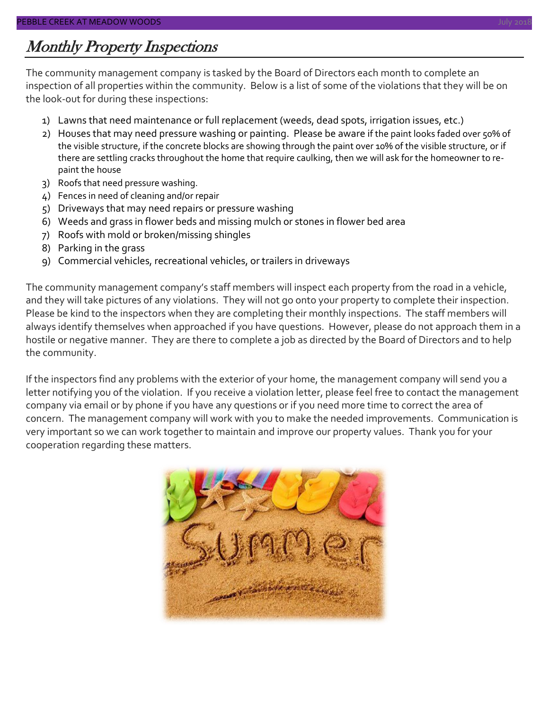### Monthly Property Inspections

The community management company is tasked by the Board of Directors each month to complete an inspection of all properties within the community. Below is a list of some of the violations that they will be on the look-out for during these inspections:

- 1) Lawns that need maintenance or full replacement (weeds, dead spots, irrigation issues, etc.)
- 2) Houses that may need pressure washing or painting. Please be aware if the paint looks faded over 50% of the visible structure, if the concrete blocks are showing through the paint over 10% of the visible structure, or if there are settling cracks throughout the home that require caulking, then we will ask for the homeowner to repaint the house
- 3) Roofs that need pressure washing.
- 4) Fences in need of cleaning and/or repair
- 5) Driveways that may need repairs or pressure washing
- 6) Weeds and grass in flower beds and missing mulch or stones in flower bed area
- 7) Roofs with mold or broken/missing shingles
- 8) Parking in the grass
- 9) Commercial vehicles, recreational vehicles, or trailers in driveways

The community management company's staff members will inspect each property from the road in a vehicle, and they will take pictures of any violations. They will not go onto your property to complete their inspection. Please be kind to the inspectors when they are completing their monthly inspections. The staff members will always identify themselves when approached if you have questions. However, please do not approach them in a hostile or negative manner. They are there to complete a job as directed by the Board of Directors and to help the community.

If the inspectors find any problems with the exterior of your home, the management company will send you a letter notifying you of the violation. If you receive a violation letter, please feel free to contact the management company via email or by phone if you have any questions or if you need more time to correct the area of concern. The management company will work with you to make the needed improvements. Communication is very important so we can work together to maintain and improve our property values. Thank you for your cooperation regarding these matters.

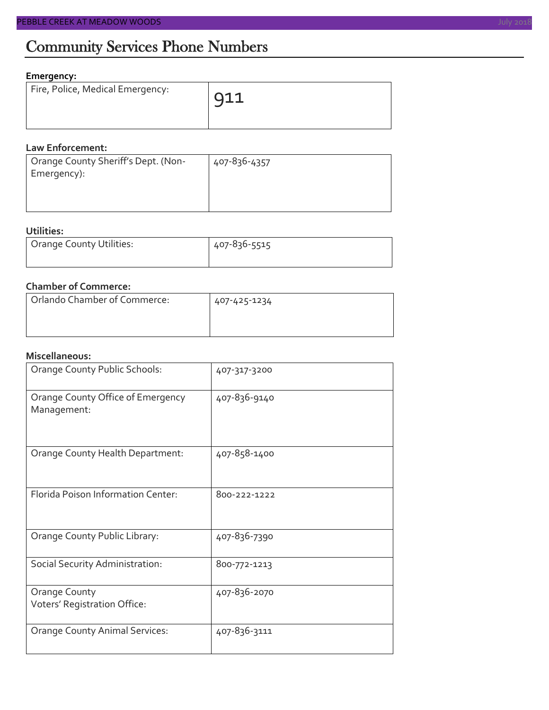### Community Services Phone Numbers

#### **Emergency:**

| Fire, Police, Medical Emergency: | $\sqrt{911}$ |
|----------------------------------|--------------|
|                                  |              |

#### **Law Enforcement:**

| Orange County Sheriff's Dept. (Non- | 407-836-4357 |
|-------------------------------------|--------------|
| Emergency):                         |              |
|                                     |              |
|                                     |              |

#### **Utilities:**

| Orange County Utilities: | 407-836-5515 |  |  |
|--------------------------|--------------|--|--|
|                          |              |  |  |

#### **Chamber of Commerce:**

| Orlando Chamber of Commerce: | 407-425-1234 |  |  |
|------------------------------|--------------|--|--|
|                              |              |  |  |

#### **Miscellaneous:**

| Orange County Public Schools:                    | 407-317-3200 |
|--------------------------------------------------|--------------|
| Orange County Office of Emergency<br>Management: | 407-836-9140 |
| Orange County Health Department:                 | 407-858-1400 |
| Florida Poison Information Center:               | 800-222-1222 |
| Orange County Public Library:                    | 407-836-7390 |
| Social Security Administration:                  | 800-772-1213 |
| Orange County<br>Voters' Registration Office:    | 407-836-2070 |
| <b>Orange County Animal Services:</b>            | 407-836-3111 |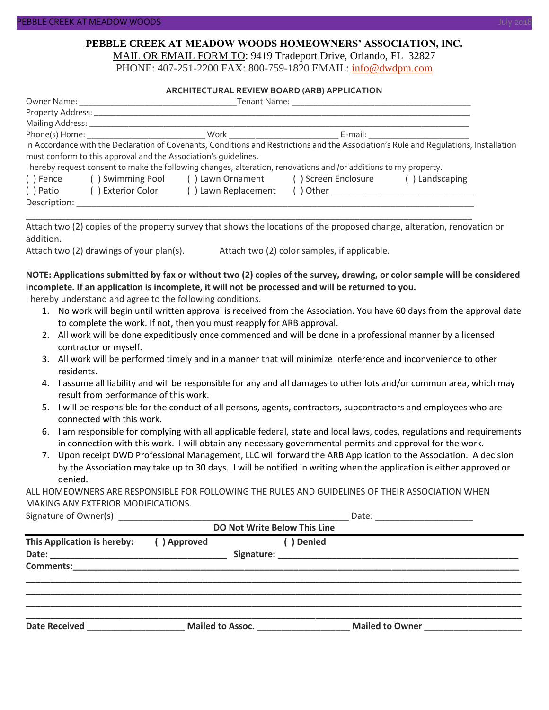#### **PEBBLE CREEK AT MEADOW WOODS HOMEOWNERS' ASSOCIATION, INC.** MAIL OR EMAIL FORM TO: 9419 Tradeport Drive, Orlando, FL 32827

PHONE: 407-251-2200 FAX: 800-759-1820 EMAIL: [info@dwdpm.com](mailto:info@dwdpm.com)

#### **ARCHITECTURAL REVIEW BOARD (ARB) APPLICATION**

|              |                                                                                                                                                                                                                                |                                                                                                                   | Tenant Name: The contract of the contract of the contract of the contract of the contract of the contract of the contract of the contract of the contract of the contract of the contract of the contract of the contract of t |                                                                                                                                       |
|--------------|--------------------------------------------------------------------------------------------------------------------------------------------------------------------------------------------------------------------------------|-------------------------------------------------------------------------------------------------------------------|--------------------------------------------------------------------------------------------------------------------------------------------------------------------------------------------------------------------------------|---------------------------------------------------------------------------------------------------------------------------------------|
|              |                                                                                                                                                                                                                                |                                                                                                                   |                                                                                                                                                                                                                                |                                                                                                                                       |
|              | Mailing Address: _______________                                                                                                                                                                                               |                                                                                                                   |                                                                                                                                                                                                                                |                                                                                                                                       |
|              | E-mail: E-mail: All and the second second second second second second second second second second second second second second second second second second second second second second second second second second second secon |                                                                                                                   |                                                                                                                                                                                                                                |                                                                                                                                       |
|              |                                                                                                                                                                                                                                |                                                                                                                   |                                                                                                                                                                                                                                | In Accordance with the Declaration of Covenants, Conditions and Restrictions and the Association's Rule and Requlations, Installation |
|              | must conform to this approval and the Association's quidelines.                                                                                                                                                                |                                                                                                                   |                                                                                                                                                                                                                                |                                                                                                                                       |
|              |                                                                                                                                                                                                                                | I hereby request consent to make the following changes, alteration, renovations and /or additions to my property. |                                                                                                                                                                                                                                |                                                                                                                                       |
| () Fence     |                                                                                                                                                                                                                                | () Swimming Pool () Lawn Ornament () Screen Enclosure                                                             |                                                                                                                                                                                                                                | () Landscaping                                                                                                                        |
| () Patio     | () Exterior Color                                                                                                                                                                                                              | () Lawn Replacement                                                                                               |                                                                                                                                                                                                                                |                                                                                                                                       |
| Description: |                                                                                                                                                                                                                                |                                                                                                                   |                                                                                                                                                                                                                                |                                                                                                                                       |

Attach two (2) copies of the property survey that shows the locations of the proposed change, alteration, renovation or addition.

\_\_\_\_\_\_\_\_\_\_\_\_\_\_\_\_\_\_\_\_\_\_\_\_\_\_\_\_\_\_\_\_\_\_\_\_\_\_\_\_\_\_\_\_\_\_\_\_\_\_\_\_\_\_\_\_\_\_\_\_\_\_\_\_\_\_\_\_\_\_\_\_\_\_\_\_\_\_\_\_\_\_\_\_\_\_\_\_\_\_\_

Attach two (2) drawings of your plan(s). Attach two (2) color samples, if applicable.

#### **NOTE: Applications submitted by fax or without two (2) copies of the survey, drawing, or color sample will be considered incomplete. If an application is incomplete, it will not be processed and will be returned to you.**

I hereby understand and agree to the following conditions.

- 1. No work will begin until written approval is received from the Association. You have 60 days from the approval date to complete the work. If not, then you must reapply for ARB approval.
- 2. All work will be done expeditiously once commenced and will be done in a professional manner by a licensed contractor or myself.
- 3. All work will be performed timely and in a manner that will minimize interference and inconvenience to other residents.
- 4. I assume all liability and will be responsible for any and all damages to other lots and/or common area, which may result from performance of this work.
- 5. I will be responsible for the conduct of all persons, agents, contractors, subcontractors and employees who are connected with this work.
- 6. I am responsible for complying with all applicable federal, state and local laws, codes, regulations and requirements in connection with this work. I will obtain any necessary governmental permits and approval for the work.
- 7. Upon receipt DWD Professional Management, LLC will forward the ARB Application to the Association. A decision by the Association may take up to 30 days. I will be notified in writing when the application is either approved or denied.

ALL HOMEOWNERS ARE RESPONSIBLE FOR FOLLOWING THE RULES AND GUIDELINES OF THEIR ASSOCIATION WHEN MAKING ANY EXTERIOR MODIFICATIONS.

| Signature of C<br>: ()wner(s) |  |
|-------------------------------|--|
|-------------------------------|--|

| <b>DO Not Write Below This Line</b>                                        |             |                  |                 |  |  |
|----------------------------------------------------------------------------|-------------|------------------|-----------------|--|--|
| This Application is hereby:                                                | () Approved | ( ) Denied       |                 |  |  |
|                                                                            |             |                  |                 |  |  |
|                                                                            |             |                  |                 |  |  |
|                                                                            |             |                  |                 |  |  |
|                                                                            |             |                  |                 |  |  |
|                                                                            |             |                  |                 |  |  |
| <b>Date Received</b><br><u> 1989 - John Stein, Amerikaansk politiker (</u> |             | Mailed to Assoc. | Mailed to Owner |  |  |